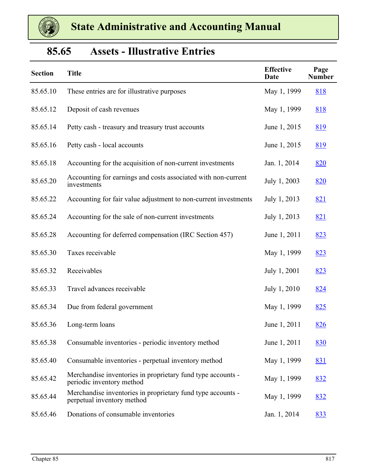

# **85.65 Assets - Illustrative Entries**

| <b>Section</b> | <b>Title</b>                                                                              | <b>Effective</b><br><b>Date</b> | Page<br><b>Number</b> |
|----------------|-------------------------------------------------------------------------------------------|---------------------------------|-----------------------|
| 85.65.10       | These entries are for illustrative purposes                                               | May 1, 1999                     | 818                   |
| 85.65.12       | Deposit of cash revenues                                                                  | May 1, 1999                     | <u>818</u>            |
| 85.65.14       | Petty cash - treasury and treasury trust accounts                                         | June 1, 2015                    | <u>819</u>            |
| 85.65.16       | Petty cash - local accounts                                                               | June 1, 2015                    | <u>819</u>            |
| 85.65.18       | Accounting for the acquisition of non-current investments                                 | Jan. 1, 2014                    | <u>820</u>            |
| 85.65.20       | Accounting for earnings and costs associated with non-current<br>investments              | July 1, 2003                    | <u>820</u>            |
| 85.65.22       | Accounting for fair value adjustment to non-current investments                           | July 1, 2013                    | 821                   |
| 85.65.24       | Accounting for the sale of non-current investments                                        | July 1, 2013                    | 821                   |
| 85.65.28       | Accounting for deferred compensation (IRC Section 457)                                    | June 1, 2011                    | 823                   |
| 85.65.30       | Taxes receivable                                                                          | May 1, 1999                     | 823                   |
| 85.65.32       | Receivables                                                                               | July 1, 2001                    | 823                   |
| 85.65.33       | Travel advances receivable                                                                | July 1, 2010                    | 824                   |
| 85.65.34       | Due from federal government                                                               | May 1, 1999                     | 825                   |
| 85.65.36       | Long-term loans                                                                           | June 1, 2011                    | 826                   |
| 85.65.38       | Consumable inventories - periodic inventory method                                        | June 1, 2011                    | 830                   |
| 85.65.40       | Consumable inventories - perpetual inventory method                                       | May 1, 1999                     | 831                   |
| 85.65.42       | Merchandise inventories in proprietary fund type accounts -<br>periodic inventory method  | May 1, 1999                     | 832                   |
| 85.65.44       | Merchandise inventories in proprietary fund type accounts -<br>perpetual inventory method | May 1, 1999                     | 832                   |
| 85.65.46       | Donations of consumable inventories                                                       | Jan. 1, 2014                    | <u>833</u>            |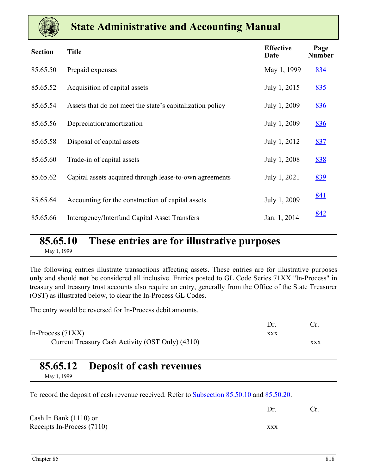<span id="page-1-0"></span>

| <b>Section</b> | <b>Title</b>                                              | <b>Effective</b><br>Date | Page<br><b>Number</b> |
|----------------|-----------------------------------------------------------|--------------------------|-----------------------|
| 85.65.50       | Prepaid expenses                                          | May 1, 1999              | 834                   |
| 85.65.52       | Acquisition of capital assets                             | July 1, 2015             | 835                   |
| 85.65.54       | Assets that do not meet the state's capitalization policy | July 1, 2009             | 836                   |
| 85.65.56       | Depreciation/amortization                                 | July 1, 2009             | 836                   |
| 85.65.58       | Disposal of capital assets                                | July 1, 2012             | 837                   |
| 85.65.60       | Trade-in of capital assets                                | July 1, 2008             | 838                   |
| 85.65.62       | Capital assets acquired through lease-to-own agreements   | July 1, 2021             | 839                   |
| 85.65.64       | Accounting for the construction of capital assets         | July 1, 2009             | <u>841</u>            |
| 85.65.66       | <b>Interagency/Interfund Capital Asset Transfers</b>      | Jan. 1, 2014             | 842                   |

# **85.65.10 These entries are for illustrative purposes**

May 1, 1999

The following entries illustrate transactions affecting assets. These entries are for illustrative purposes **only** and should **not** be considered all inclusive. Entries posted to GL Code Series 71XX "In-Process" in treasury and treasury trust accounts also require an entry, generally from the Office of the State Treasurer (OST) as illustrated below, to clear the In-Process GL Codes.

The entry would be reversed for In-Process debit amounts.

| In-Process $(71XX)$                              | <b>XXX</b> |     |
|--------------------------------------------------|------------|-----|
| Current Treasury Cash Activity (OST Only) (4310) |            | XXX |

### **85.65.12 Deposit of cash revenues**

May 1, 1999

To record the deposit of cash revenue received. Refer to **Subsection 85.50.10** and 85.50.20.

Dr. Cr.

Cash In Bank (1110) or Receipts In-Process (7110) xxx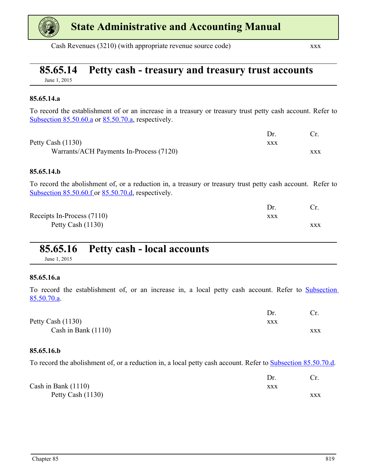<span id="page-2-0"></span>

Cash Revenues (3210) (with appropriate revenue source code) xxx

# **85.65.14 Petty cash - treasury and treasury trust accounts**

June 1, 2015

#### **85.65.14.a**

To record the establishment of or an increase in a treasury or treasury trust petty cash account. Refer to Subsection 85.50.60.a or 85.50.70.a, respectively.

| Petty Cash $(1130)$                     | xxx |     |
|-----------------------------------------|-----|-----|
| Warrants/ACH Payments In-Process (7120) |     | XXX |

#### **85.65.14.b**

To record the abolishment of, or a reduction in, a treasury or treasury trust petty cash account. Refer to Subsection 85.50.60.f or 85.50.70.d, respectively.

|                            | Dr. |     |
|----------------------------|-----|-----|
| Receipts In-Process (7110) | XXX |     |
| Petty Cash (1130)          |     | XXX |

# **85.65.16 Petty cash - local accounts**

June 1, 2015

#### **85.65.16.a**

To record the establishment of, or an increase in, a local petty cash account. Refer to Subsection 85.50.70.a.

| Petty Cash (1130)     | XXX |     |
|-----------------------|-----|-----|
| Cash in Bank $(1110)$ |     | XXX |

#### **85.65.16.b**

To record the abolishment of, or a reduction in, a local petty cash account. Refer to **Subsection 85.50.70.d**.

|                       | Dr. |     |
|-----------------------|-----|-----|
| Cash in Bank $(1110)$ | xxx |     |
| Petty Cash (1130)     |     | XXX |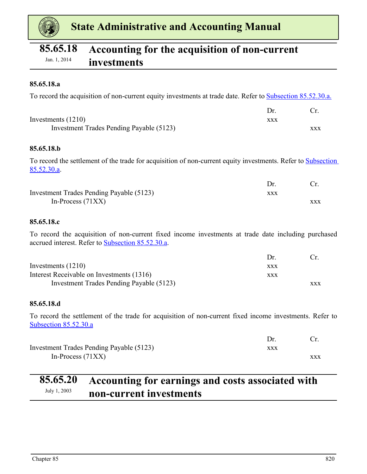<span id="page-3-0"></span>

# **85.65.18 Accounting for the acquisition of non-current**  Jan. 1, 2014 **investments**

#### **85.65.18.a**

To record the acquisition of non-current equity investments at trade date. Refer to Subsection 85.52.30.a.

| Investments $(1210)$                     | XXX |     |
|------------------------------------------|-----|-----|
| Investment Trades Pending Payable (5123) |     | xxx |

#### **85.65.18.b**

To record the settlement of the trade for acquisition of non-current equity investments. Refer to Subsection 85.52.30.a.

|                                          | Dr  |            |
|------------------------------------------|-----|------------|
| Investment Trades Pending Payable (5123) | XXX |            |
| In-Process $(71XX)$                      |     | <b>XXX</b> |

#### **85.65.18.c**

To record the acquisition of non-current fixed income investments at trade date including purchased accrued interest. Refer to Subsection 85.52.30.a.

|                                           | $1$ r      |            |
|-------------------------------------------|------------|------------|
| Investments $(1210)$                      | <b>XXX</b> |            |
| Interest Receivable on Investments (1316) | XXX        |            |
| Investment Trades Pending Payable (5123)  |            | <b>XXX</b> |

#### **85.65.18.d**

To record the settlement of the trade for acquisition of non-current fixed income investments. Refer to Subsection 85.52.30.a

| Investment Trades Pending Payable (5123) | xxx |            |
|------------------------------------------|-----|------------|
| In-Process $(71XX)$                      |     | <b>XXX</b> |

# **85.65.20 Accounting for earnings and costs associated with**  July 1, 2003 **non-current investments**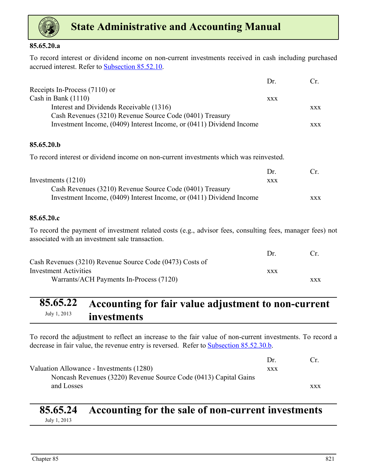<span id="page-4-0"></span>

#### **85.65.20.a**

To record interest or dividend income on non-current investments received in cash including purchased accrued interest. Refer to Subsection 85.52.10.

|                                                                      | Dr.        | $\mathfrak{c}$ |
|----------------------------------------------------------------------|------------|----------------|
| Receipts In-Process (7110) or                                        |            |                |
| Cash in Bank $(1110)$                                                | <b>XXX</b> |                |
| Interest and Dividends Receivable (1316)                             |            | <b>XXX</b>     |
| Cash Revenues (3210) Revenue Source Code (0401) Treasury             |            |                |
| Investment Income, (0409) Interest Income, or (0411) Dividend Income |            | <b>XXX</b>     |

#### **85.65.20.b**

To record interest or dividend income on non-current investments which was reinvested.

|                                                                      | Dr  | $C_{\rm r}$ |
|----------------------------------------------------------------------|-----|-------------|
| Investments $(1210)$                                                 | XXX |             |
| Cash Revenues (3210) Revenue Source Code (0401) Treasury             |     |             |
| Investment Income, (0409) Interest Income, or (0411) Dividend Income |     | <b>XXX</b>  |

#### **85.65.20.c**

To record the payment of investment related costs (e.g., advisor fees, consulting fees, manager fees) not associated with an investment sale transaction.

|                                                          | $1$ r |            |
|----------------------------------------------------------|-------|------------|
| Cash Revenues (3210) Revenue Source Code (0473) Costs of |       |            |
| <b>Investment Activities</b>                             | xxx   |            |
| Warrants/ACH Payments In-Process (7120)                  |       | <b>XXX</b> |

## **85.65.22 Accounting for fair value adjustment to non-current**  July 1, 2013 **investments**

To record the adjustment to reflect an increase to the fair value of non-current investments. To record a decrease in fair value, the revenue entry is reversed. Refer to **Subsection 85.52.30.b.** 

|                                                                  | Dr  | $\mathsf{r}$ |
|------------------------------------------------------------------|-----|--------------|
| Valuation Allowance - Investments (1280)                         | XXX |              |
| Noncash Revenues (3220) Revenue Source Code (0413) Capital Gains |     |              |
| and Losses                                                       |     | <b>XXX</b>   |

# **85.65.24 Accounting for the sale of non-current investments**

July 1, 2013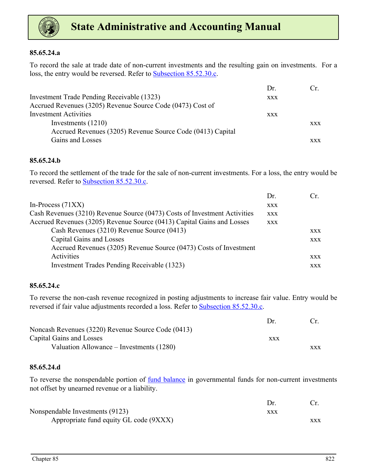

#### **85.65.24.a**

To record the sale at trade date of non-current investments and the resulting gain on investments. For a loss, the entry would be reversed. Refer to Subsection 85.52.30.c.

|                                                            | Dr.        | Cr.        |
|------------------------------------------------------------|------------|------------|
| Investment Trade Pending Receivable (1323)                 | <b>XXX</b> |            |
| Accrued Revenues (3205) Revenue Source Code (0473) Cost of |            |            |
| <b>Investment Activities</b>                               | <b>XXX</b> |            |
| Investments $(1210)$                                       |            | <b>XXX</b> |
| Accrued Revenues (3205) Revenue Source Code (0413) Capital |            |            |
| Gains and Losses                                           |            | <b>XXX</b> |

#### **85.65.24.b**

To record the settlement of the trade for the sale of non-current investments. For a loss, the entry would be reversed. Refer to Subsection 85.52.30.c.

|                                                                           | Dr.        | Cr         |
|---------------------------------------------------------------------------|------------|------------|
| In-Process $(71XX)$                                                       | <b>XXX</b> |            |
| Cash Revenues (3210) Revenue Source (0473) Costs of Investment Activities | <b>XXX</b> |            |
| Accrued Revenues (3205) Revenue Source (0413) Capital Gains and Losses    | <b>XXX</b> |            |
| Cash Revenues (3210) Revenue Source (0413)                                |            | <b>XXX</b> |
| Capital Gains and Losses                                                  |            | <b>XXX</b> |
| Accrued Revenues (3205) Revenue Source (0473) Costs of Investment         |            |            |
| Activities                                                                |            | <b>XXX</b> |
| Investment Trades Pending Receivable (1323)                               |            | <b>XXX</b> |
|                                                                           |            |            |

#### **85.65.24.c**

To reverse the non-cash revenue recognized in posting adjustments to increase fair value. Entry would be reversed if fair value adjustments recorded a loss. Refer to **Subsection 85.52.30.c.** 

|                                                    | $1$ r      |            |
|----------------------------------------------------|------------|------------|
| Noncash Revenues (3220) Revenue Source Code (0413) |            |            |
| Capital Gains and Losses                           | <b>XXX</b> |            |
| Valuation Allowance – Investments (1280)           |            | <b>XXX</b> |

#### **85.65.24.d**

To reverse the nonspendable portion of fund balance in governmental funds for non-current investments not offset by unearned revenue or a liability.

| Nonspendable Investments (9123)        | xxx |     |
|----------------------------------------|-----|-----|
| Appropriate fund equity GL code (9XXX) |     | xxx |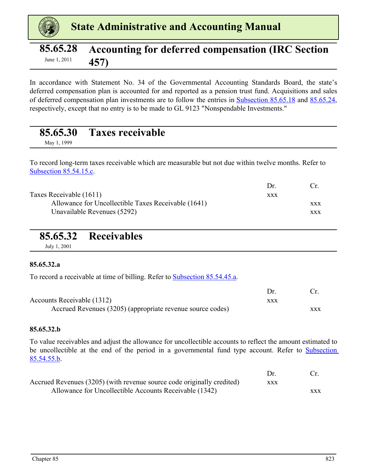<span id="page-6-0"></span>

# **85.65.28 Accounting for deferred compensation (IRC Section**  June 1, 2011 **457**

In accordance with Statement No. 34 of the Governmental Accounting Standards Board, the state's deferred compensation plan is accounted for and reported as a pension trust fund. Acquisitions and sales of deferred compensation plan investments are to follow the entries in [Subsection 85.65.18](#page-3-0) and [85.65.24](#page-4-0), respectively, except that no entry is to be made to GL 9123 "Nonspendable Investments."

### **85.65.30 Taxes receivable**

May 1, 1999

To record long-term taxes receivable which are measurable but not due within twelve months. Refer to Subsection 85.54.15.c.

|                                                     | $1$ r      | $\mathsf{r}$ |
|-----------------------------------------------------|------------|--------------|
| Taxes Receivable (1611)                             | <b>XXX</b> |              |
| Allowance for Uncollectible Taxes Receivable (1641) |            | <b>XXX</b>   |
| Unavailable Revenues (5292)                         |            | XXX          |

# **85.65.32 Receivables**

July 1, 2001

#### **85.65.32.a**

To record a receivable at time of billing. Refer to Subsection 85.54.45.a.

| Accounts Receivable (1312)                                 | xxx |            |
|------------------------------------------------------------|-----|------------|
| Accrued Revenues (3205) (appropriate revenue source codes) |     | <b>XXX</b> |

#### **85.65.32.b**

To value receivables and adjust the allowance for uncollectible accounts to reflect the amount estimated to be uncollectible at the end of the period in a governmental fund type account. Refer to Subsection 85.54.55.b.

|                                                                        | Dr  |            |
|------------------------------------------------------------------------|-----|------------|
| Accrued Revenues (3205) (with revenue source code originally credited) | XXX |            |
| Allowance for Uncollectible Accounts Receivable (1342)                 |     | <b>XXX</b> |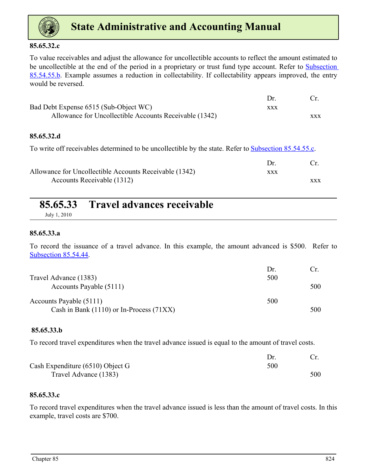<span id="page-7-0"></span>

#### **85.65.32.c**

To value receivables and adjust the allowance for uncollectible accounts to reflect the amount estimated to be uncollectible at the end of the period in a proprietary or trust fund type account. Refer to Subsection 85.54.55.b. Example assumes a reduction in collectability. If collectability appears improved, the entry would be reversed.

| Bad Debt Expense 6515 (Sub-Object WC)                  | xxx |     |
|--------------------------------------------------------|-----|-----|
| Allowance for Uncollectible Accounts Receivable (1342) |     | XXX |

#### **85.65.32.d**

To write off receivables determined to be uncollectible by the state. Refer to **Subsection 85.54.55.c.** 

| Allowance for Uncollectible Accounts Receivable (1342) | xxx |            |
|--------------------------------------------------------|-----|------------|
| Accounts Receivable (1312)                             |     | <b>XXX</b> |

|            | 85.65.33 Travel advances receivable |
|------------|-------------------------------------|
| T 1 1 2010 |                                     |

July 1, 2010

#### **85.65.33.a**

To record the issuance of a travel advance. In this example, the amount advanced is \$500. Refer to Subsection 85.54.44.

|                                              | Dr. |     |
|----------------------------------------------|-----|-----|
| Travel Advance (1383)                        | 500 |     |
| Accounts Payable (5111)                      |     | 500 |
| Accounts Payable (5111)                      | 500 |     |
| Cash in Bank $(1110)$ or In-Process $(71XX)$ |     | 500 |

#### **85.65.33.b**

To record travel expenditures when the travel advance issued is equal to the amount of travel costs.

| Cash Expenditure $(6510)$ Object G | 500 |     |
|------------------------------------|-----|-----|
| Travel Advance (1383)              |     | 500 |

#### **85.65.33.c**

To record travel expenditures when the travel advance issued is less than the amount of travel costs. In this example, travel costs are \$700.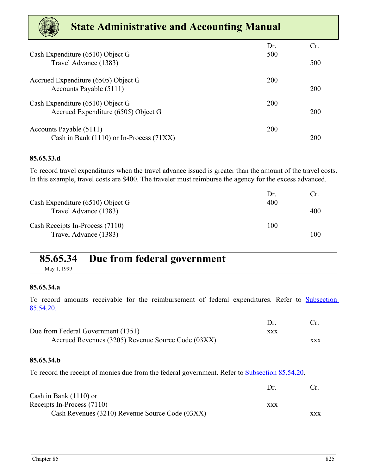<span id="page-8-0"></span>

| $\sim$ 1889 $\sim$                                                      |            |     |
|-------------------------------------------------------------------------|------------|-----|
| Cash Expenditure (6510) Object G                                        | Dr.<br>500 | Cr. |
| Travel Advance (1383)                                                   |            | 500 |
| Accrued Expenditure (6505) Object G<br>Accounts Payable (5111)          | 200        | 200 |
| Cash Expenditure (6510) Object G<br>Accrued Expenditure (6505) Object G | 200        | 200 |
| Accounts Payable (5111)<br>Cash in Bank (1110) or In-Process (71XX)     | 200        | 200 |

#### **85.65.33.d**

To record travel expenditures when the travel advance issued is greater than the amount of the travel costs. In this example, travel costs are \$400. The traveler must reimburse the agency for the excess advanced.

| Cash Expenditure (6510) Object G                         | Dr<br>400 | Ur. |
|----------------------------------------------------------|-----------|-----|
| Travel Advance (1383)                                    |           | 400 |
| Cash Receipts In-Process (7110)<br>Travel Advance (1383) | 100       | 100 |

## **85.65.34 Due from federal government**

May 1, 1999

#### **85.65.34.a**

To record amounts receivable for the reimbursement of federal expenditures. Refer to Subsection 85.54.20.

| Due from Federal Government (1351)                 | xxx |     |
|----------------------------------------------------|-----|-----|
| Accrued Revenues (3205) Revenue Source Code (03XX) |     | XXX |

#### **85.65.34.b**

To record the receipt of monies due from the federal government. Refer to **Subsection 85.54.20**.

|                                                 | 1)r        |            |
|-------------------------------------------------|------------|------------|
| Cash in Bank $(1110)$ or                        |            |            |
| Receipts In-Process (7110)                      | <b>XXX</b> |            |
| Cash Revenues (3210) Revenue Source Code (03XX) |            | <b>XXX</b> |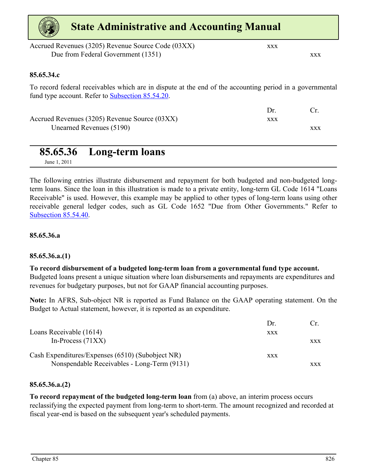<span id="page-9-0"></span>

| <b>State Administrative and Accounting Manual</b>                                                                                                                    |            |            |
|----------------------------------------------------------------------------------------------------------------------------------------------------------------------|------------|------------|
| Accrued Revenues (3205) Revenue Source Code (03XX)<br>Due from Federal Government (1351)                                                                             | <b>XXX</b> | <b>XXX</b> |
| 85.65.34.c                                                                                                                                                           |            |            |
| To record federal receivables which are in dispute at the end of the accounting period in a governmental<br>fund type account. Refer to <b>Subsection 85.54.20</b> . |            |            |
|                                                                                                                                                                      | Dr.        | Cr.        |
| Accrued Revenues (3205) Revenue Source (03XX)<br>Unearned Revenues (5190)                                                                                            | <b>XXX</b> | <b>XXX</b> |
| 85.65.36<br>Long-term loans<br>June 1, 2011                                                                                                                          |            |            |

The following entries illustrate disbursement and repayment for both budgeted and non-budgeted longterm loans. Since the loan in this illustration is made to a private entity, long-term GL Code 1614 "Loans Receivable" is used. However, this example may be applied to other types of long-term loans using other receivable general ledger codes, such as GL Code 1652 "Due from Other Governments." Refer to Subsection 85.54.40.

#### **85.65.36.a**

#### **85.65.36.a.(1)**

**To record disbursement of a budgeted long-term loan from a governmental fund type account.**  Budgeted loans present a unique situation where loan disbursements and repayments are expenditures and revenues for budgetary purposes, but not for GAAP financial accounting purposes.

**Note:** In AFRS, Sub-object NR is reported as Fund Balance on the GAAP operating statement. On the Budget to Actual statement, however, it is reported as an expenditure.

|                                                  | Dr         |            |
|--------------------------------------------------|------------|------------|
| Loans Receivable (1614)                          | XXX        |            |
| In-Process $(71XX)$                              |            | <b>XXX</b> |
| Cash Expenditures/Expenses (6510) (Subobject NR) | <b>XXX</b> |            |
| Nonspendable Receivables - Long-Term (9131)      |            | <b>XXX</b> |

#### **85.65.36.a.(2)**

**To record repayment of the budgeted long-term loan** from (a) above, an interim process occurs reclassifying the expected payment from long-term to short-term. The amount recognized and recorded at fiscal year-end is based on the subsequent year's scheduled payments.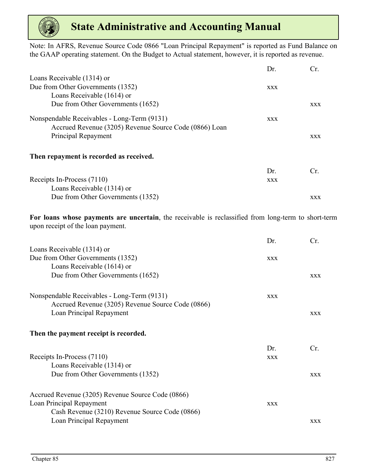

Note: In AFRS, Revenue Source Code 0866 "Loan Principal Repayment" is reported as Fund Balance on the GAAP operating statement. On the Budget to Actual statement, however, it is reported as revenue.

|                                                        | Dr.        | Cr.        |
|--------------------------------------------------------|------------|------------|
| Loans Receivable (1314) or                             |            |            |
| Due from Other Governments (1352)                      | <b>XXX</b> |            |
| Loans Receivable (1614) or                             |            |            |
| Due from Other Governments (1652)                      |            | <b>XXX</b> |
| Nonspendable Receivables - Long-Term (9131)            | <b>XXX</b> |            |
| Accrued Revenue (3205) Revenue Source Code (0866) Loan |            |            |
| Principal Repayment                                    |            | <b>XXX</b> |
| Then repayment is recorded as received.                |            |            |
|                                                        | Dr.        | Cr.        |
| Receipts In-Process (7110)                             | <b>XXX</b> |            |
| Loans Receivable (1314) or                             |            |            |
| Due from Other Governments (1352)                      |            | <b>XXX</b> |

**For loans whose payments are uncertain**, the receivable is reclassified from long-term to short-term upon receipt of the loan payment.

|                                                   | Dr.        | Cr.        |
|---------------------------------------------------|------------|------------|
| Loans Receivable (1314) or                        |            |            |
| Due from Other Governments (1352)                 | <b>XXX</b> |            |
| Loans Receivable (1614) or                        |            |            |
| Due from Other Governments (1652)                 |            | <b>XXX</b> |
| Nonspendable Receivables - Long-Term (9131)       | <b>XXX</b> |            |
| Accrued Revenue (3205) Revenue Source Code (0866) |            |            |
| Loan Principal Repayment                          |            | <b>XXX</b> |
| Then the payment receipt is recorded.             |            |            |
|                                                   | Dr.        | Cr.        |
| Receipts In-Process (7110)                        | <b>XXX</b> |            |
| Loans Receivable (1314) or                        |            |            |
| Due from Other Governments (1352)                 |            | <b>XXX</b> |
| Accrued Revenue (3205) Revenue Source Code (0866) |            |            |
| Loan Principal Repayment                          | <b>XXX</b> |            |
| Cash Revenue (3210) Revenue Source Code (0866)    |            |            |
| Loan Principal Repayment                          |            | <b>XXX</b> |
|                                                   |            |            |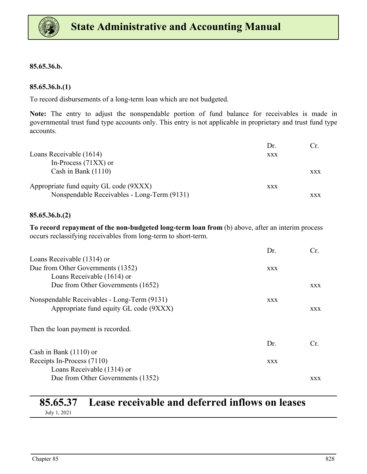

#### **85.65.36.b.**

#### **85.65.36.b.(1)**

To record disbursements of a long-term loan which are not budgeted.

**Note:** The entry to adjust the nonspendable portion of fund balance for receivables is made in governmental trust fund type accounts only. This entry is not applicable in proprietary and trust fund type accounts.

|                                             | Dr.        | Cr.        |
|---------------------------------------------|------------|------------|
| Loans Receivable (1614)                     | <b>XXX</b> |            |
| In-Process $(71XX)$ or                      |            |            |
| Cash in Bank $(1110)$                       |            | <b>XXX</b> |
| Appropriate fund equity GL code (9XXX)      | <b>XXX</b> |            |
| Nonspendable Receivables - Long-Term (9131) |            | XXX        |

#### **85.65.36.b.(2)**

**To record repayment of the non-budgeted long-term loan from** (b) above, after an interim process occurs reclassifying receivables from long-term to short-term.

|                                             | Dr.        | Cr.        |
|---------------------------------------------|------------|------------|
| Loans Receivable (1314) or                  |            |            |
| Due from Other Governments (1352)           | <b>XXX</b> |            |
| Loans Receivable (1614) or                  |            |            |
| Due from Other Governments (1652)           |            | <b>XXX</b> |
| Nonspendable Receivables - Long-Term (9131) | <b>XXX</b> |            |
| Appropriate fund equity GL code (9XXX)      |            | <b>XXX</b> |
| Then the loan payment is recorded.          |            |            |
|                                             | Dr.        | Cr.        |
| Cash in Bank $(1110)$ or                    |            |            |
| Receipts In-Process (7110)                  | <b>XXX</b> |            |
| Loans Receivable (1314) or                  |            |            |
| Due from Other Governments (1352)           |            | <b>XXX</b> |

# **85.65.37 Lease receivable and deferred inflows on leases**

July 1, 2021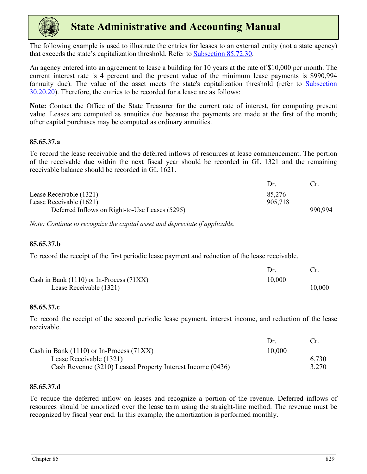

The following example is used to illustrate the entries for leases to an external entity (not a state agency) that exceeds the state's capitalization threshold. Refer to Subsection 85.72.30.

An agency entered into an agreement to lease a building for 10 years at the rate of \$10,000 per month. The current interest rate is 4 percent and the present value of the minimum lease payments is \$990,994 (annuity due). The value of the asset meets the state's capitalization threshold (refer to Subsection 30.20.20). Therefore, the entries to be recorded for a lease are as follows:

**Note:** Contact the Office of the State Treasurer for the current rate of interest, for computing present value. Leases are computed as annuities due because the payments are made at the first of the month; other capital purchases may be computed as ordinary annuities.

#### **85.65.37.a**

To record the lease receivable and the deferred inflows of resources at lease commencement. The portion of the receivable due within the next fiscal year should be recorded in GL 1321 and the remaining receivable balance should be recorded in GL 1621.

|                                                | Dr.     |         |
|------------------------------------------------|---------|---------|
| Lease Receivable (1321)                        | 85,276  |         |
| Lease Receivable (1621)                        | 905,718 |         |
| Deferred Inflows on Right-to-Use Leases (5295) |         | 990.994 |

*Note: Continue to recognize the capital asset and depreciate if applicable.*

#### **85.65.37.b**

To record the receipt of the first periodic lease payment and reduction of the lease receivable.

| Cash in Bank $(1110)$ or In-Process $(71XX)$ | 10,000 |        |
|----------------------------------------------|--------|--------|
| Lease Receivable (1321)                      |        | 10,000 |

#### **85.65.37.c**

To record the receipt of the second periodic lease payment, interest income, and reduction of the lease receivable.

|                                                            | $1$ r  | $C_{\rm r}$ |
|------------------------------------------------------------|--------|-------------|
| Cash in Bank $(1110)$ or In-Process $(71XX)$               | 10.000 |             |
| Lease Receivable (1321)                                    |        | 6.730       |
| Cash Revenue (3210) Leased Property Interest Income (0436) |        | 3,270       |

#### **85.65.37.d**

To reduce the deferred inflow on leases and recognize a portion of the revenue. Deferred inflows of resources should be amortized over the lease term using the straight-line method. The revenue must be recognized by fiscal year end. In this example, the amortization is performed monthly.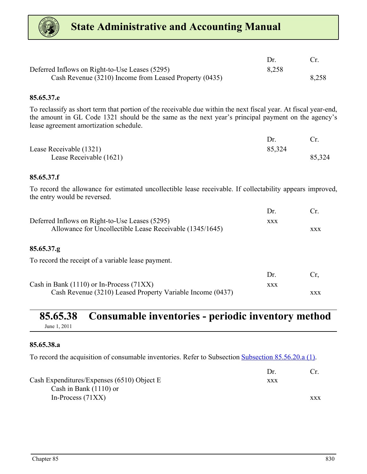<span id="page-13-0"></span>

| Deferred Inflows on Right-to-Use Leases (5295)         | 8,258 |       |
|--------------------------------------------------------|-------|-------|
| Cash Revenue (3210) Income from Leased Property (0435) |       | 8,258 |

#### **85.65.37.e**

To reclassify as short term that portion of the receivable due within the next fiscal year. At fiscal year-end, the amount in GL Code 1321 should be the same as the next year's principal payment on the agency's lease agreement amortization schedule.

| Lease Receivable (1321) | 85,324 |        |
|-------------------------|--------|--------|
| Lease Receivable (1621) |        | 85,324 |

#### **85.65.37.f**

To record the allowance for estimated uncollectible lease receivable. If collectability appears improved, the entry would be reversed.

|                                                          | Dr.        | Cr.        |
|----------------------------------------------------------|------------|------------|
| Deferred Inflows on Right-to-Use Leases (5295)           | <b>XXX</b> |            |
| Allowance for Uncollectible Lease Receivable (1345/1645) |            | <b>XXX</b> |
|                                                          |            |            |
| 85.65.37.g                                               |            |            |
| To record the receipt of a variable lease payment.       |            |            |
|                                                          | Dr.        |            |
|                                                          |            |            |

| Cash in Bank $(1110)$ or In-Process $(71XX)$               | XXX |            |
|------------------------------------------------------------|-----|------------|
| Cash Revenue (3210) Leased Property Variable Income (0437) |     | <b>XXX</b> |

#### **85.65.38 Consumable inventories - periodic inventory method** June 1, 2011

#### **85.65.38.a**

To record the acquisition of consumable inventories. Refer to Subsection Subsection 85.56.20.a (1).

|                                            | Dr  |     |
|--------------------------------------------|-----|-----|
| Cash Expenditures/Expenses (6510) Object E | XXX |     |
| Cash in Bank $(1110)$ or                   |     |     |
| In-Process $(71XX)$                        |     | XXX |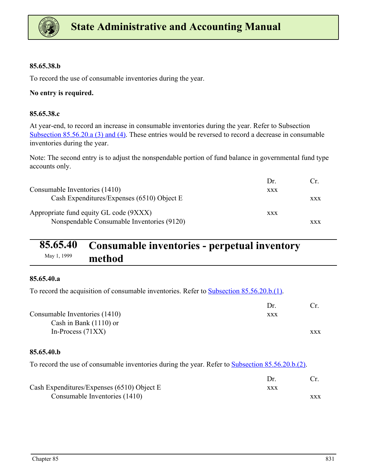<span id="page-14-0"></span>

#### **85.65.38.b**

To record the use of consumable inventories during the year.

#### **No entry is required.**

#### **85.65.38.c**

At year-end, to record an increase in consumable inventories during the year. Refer to Subsection Subsection 85.56.20.a (3) and (4). These entries would be reversed to record a decrease in consumable inventories during the year.

Note: The second entry is to adjust the nonspendable portion of fund balance in governmental fund type accounts only.

|                                            | Dr         |     |
|--------------------------------------------|------------|-----|
| Consumable Inventories (1410)              | <b>XXX</b> |     |
| Cash Expenditures/Expenses (6510) Object E |            | XXX |
| Appropriate fund equity GL code (9XXX)     | <b>XXX</b> |     |
| Nonspendable Consumable Inventories (9120) |            | XXX |

# **85.65.40 Consumable inventories - perpetual inventory**  May 1, 1999 **method**

#### **85.65.40.a**

To record the acquisition of consumable inventories. Refer to **Subsection 85.56.20.b.**(1).

|                               | Dr. |            |
|-------------------------------|-----|------------|
| Consumable Inventories (1410) | XXX |            |
| Cash in Bank $(1110)$ or      |     |            |
| In-Process $(71XX)$           |     | <b>XXX</b> |

#### **85.65.40.b**

To record the use of consumable inventories during the year. Refer to **Subsection 85.56.20.b.(2)**.

| Cash Expenditures/Expenses $(6510)$ Object E | xxx |            |
|----------------------------------------------|-----|------------|
| Consumable Inventories (1410)                |     | <b>XXX</b> |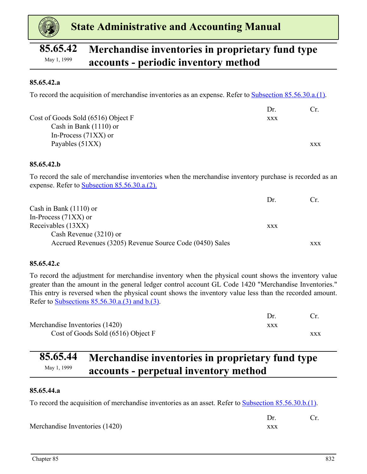<span id="page-15-0"></span>

# **85.65.42 Merchandise inventories in proprietary fund type**  May 1, 1999 **accounts - periodic inventory method**

#### **85.65.42.a**

To record the acquisition of merchandise inventories as an expense. Refer to Subsection 85.56.30.a.(1).

|                                    | Dr  |            |
|------------------------------------|-----|------------|
| Cost of Goods Sold (6516) Object F | XXX |            |
| Cash in Bank $(1110)$ or           |     |            |
| In-Process $(71XX)$ or             |     |            |
| Payables $(51XX)$                  |     | <b>XXX</b> |

#### **85.65.42.b**

To record the sale of merchandise inventories when the merchandise inventory purchase is recorded as an expense. Refer to Subsection 85.56.30.a.(2).

|                                                          | Dr  | Cr.        |
|----------------------------------------------------------|-----|------------|
| Cash in Bank $(1110)$ or                                 |     |            |
| In-Process $(71XX)$ or                                   |     |            |
| Receivables (13XX)                                       | XXX |            |
| Cash Revenue (3210) or                                   |     |            |
| Accrued Revenues (3205) Revenue Source Code (0450) Sales |     | <b>XXX</b> |

#### **85.65.42.c**

To record the adjustment for merchandise inventory when the physical count shows the inventory value greater than the amount in the general ledger control account GL Code 1420 "Merchandise Inventories." This entry is reversed when the physical count shows the inventory value less than the recorded amount. Refer to Subsections 85.56.30.a.(3) and b.(3).

| Merchandise Inventories (1420)     | XXX |     |
|------------------------------------|-----|-----|
| Cost of Goods Sold (6516) Object F |     | XXX |

# **85.65.44 Merchandise inventories in proprietary fund type**  May 1, 1999 **accounts - perpetual inventory method**

#### **85.65.44.a**

To record the acquisition of merchandise inventories as an asset. Refer to Subsection 85.56.30.b.(1).

| Merchandise Inventories (1420) |  |
|--------------------------------|--|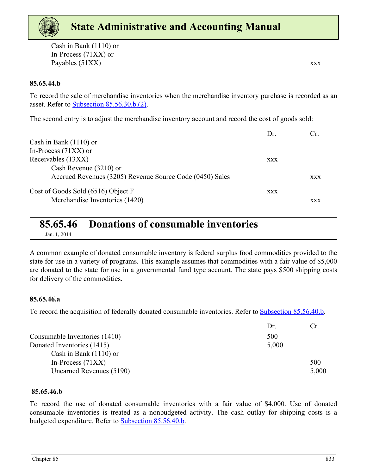<span id="page-16-0"></span>Cash in Bank (1110) or In-Process (71XX) or Payables (51XX) xxx

#### **85.65.44.b**

To record the sale of merchandise inventories when the merchandise inventory purchase is recorded as an asset. Refer to Subsection 85.56.30.b.(2).

The second entry is to adjust the merchandise inventory account and record the cost of goods sold:

|                                                          | Dr.        |            |
|----------------------------------------------------------|------------|------------|
| Cash in Bank $(1110)$ or                                 |            |            |
| In-Process $(71XX)$ or                                   |            |            |
| Receivables (13XX)                                       | <b>XXX</b> |            |
| Cash Revenue (3210) or                                   |            |            |
| Accrued Revenues (3205) Revenue Source Code (0450) Sales |            | <b>XXX</b> |
| Cost of Goods Sold (6516) Object F                       | <b>XXX</b> |            |
| Merchandise Inventories (1420)                           |            | XXX        |

### **85.65.46 Donations of consumable inventories**

Jan. 1, 2014

A common example of donated consumable inventory is federal surplus food commodities provided to the state for use in a variety of programs. This example assumes that commodities with a fair value of \$5,000 are donated to the state for use in a governmental fund type account. The state pays \$500 shipping costs for delivery of the commodities.

#### **85.65.46.a**

To record the acquisition of federally donated consumable inventories. Refer to **Subsection 85.56.40.b.** 

|                               | Dr    | Сr.   |
|-------------------------------|-------|-------|
| Consumable Inventories (1410) | 500   |       |
| Donated Inventories (1415)    | 5,000 |       |
| Cash in Bank $(1110)$ or      |       |       |
| In-Process $(71XX)$           |       | 500   |
| Unearned Revenues (5190)      |       | 5,000 |

#### **85.65.46.b**

To record the use of donated consumable inventories with a fair value of \$4,000. Use of donated consumable inventories is treated as a nonbudgeted activity. The cash outlay for shipping costs is a budgeted expenditure. Refer to Subsection 85.56.40.b.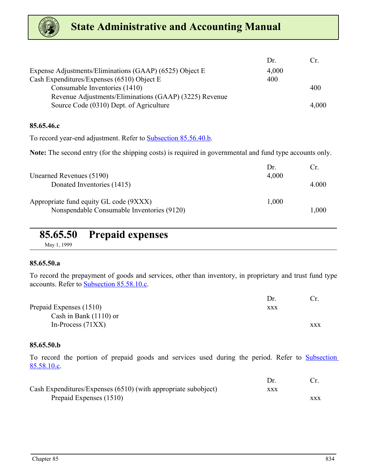<span id="page-17-0"></span>

|                                                         | Dr    | Ur.   |
|---------------------------------------------------------|-------|-------|
| Expense Adjustments/Eliminations (GAAP) (6525) Object E | 4,000 |       |
| Cash Expenditures/Expenses (6510) Object E              | 400   |       |
| Consumable Inventories (1410)                           |       | 400   |
| Revenue Adjustments/Eliminations (GAAP) (3225) Revenue  |       |       |
| Source Code (0310) Dept. of Agriculture                 |       | 4,000 |

#### **85.65.46.c**

To record year-end adjustment. Refer to Subsection 85.56.40.b.

**Note:** The second entry (for the shipping costs) is required in governmental and fund type accounts only.

| Unearned Revenues (5190)                                                             | Dr.<br>4,000 | €r    |
|--------------------------------------------------------------------------------------|--------------|-------|
| Donated Inventories (1415)                                                           |              | 4.000 |
| Appropriate fund equity GL code (9XXX)<br>Nonspendable Consumable Inventories (9120) | 1,000        | 1,000 |

# **85.65.50 Prepaid expenses**

May 1, 1999

#### **85.65.50.a**

To record the prepayment of goods and services, other than inventory, in proprietary and trust fund type accounts. Refer to Subsection 85.58.10.c.

|                          | Dr.        |            |
|--------------------------|------------|------------|
| Prepaid Expenses (1510)  | <b>XXX</b> |            |
| Cash in Bank $(1110)$ or |            |            |
| In-Process $(71XX)$      |            | <b>XXX</b> |

#### **85.65.50.b**

To record the portion of prepaid goods and services used during the period. Refer to Subsection 85.58.10.c.

| Cash Expenditures/Expenses (6510) (with appropriate subobject) | xxx |     |
|----------------------------------------------------------------|-----|-----|
| Prepaid Expenses (1510)                                        |     | XXX |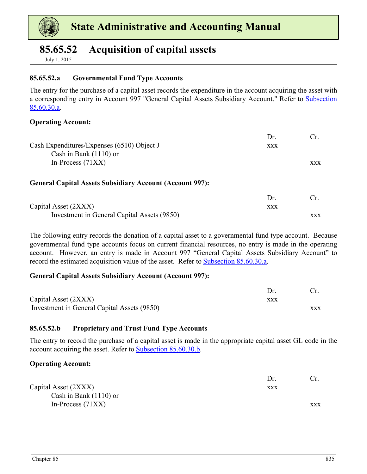<span id="page-18-0"></span>

### **85.65.52 Acquisition of capital assets**

July 1, 2015

#### **85.65.52.a Governmental Fund Type Accounts**

The entry for the purchase of a capital asset records the expenditure in the account acquiring the asset with a corresponding entry in Account 997 "General Capital Assets Subsidiary Account." Refer to Subsection 85.60.30.a.

#### **Operating Account:**

| Cash Expenditures/Expenses (6510) Object J<br>Cash in Bank $(1110)$ or                 | Dr.<br><b>XXX</b> | Cr.        |
|----------------------------------------------------------------------------------------|-------------------|------------|
| In-Process $(71XX)$<br><b>General Capital Assets Subsidiary Account (Account 997):</b> |                   | <b>XXX</b> |
| Capital Asset (2XXX)                                                                   | Dr.<br><b>XXX</b> | Cr.        |

Investment in General Capital Assets (9850) xxx

The following entry records the donation of a capital asset to a governmental fund type account. Because governmental fund type accounts focus on current financial resources, no entry is made in the operating account. However, an entry is made in Account 997 "General Capital Assets Subsidiary Account" to record the estimated acquisition value of the asset. Refer to Subsection 85.60.30.a.

#### **General Capital Assets Subsidiary Account (Account 997):**

| Capital Asset (2XXX)                        | xxx |            |
|---------------------------------------------|-----|------------|
| Investment in General Capital Assets (9850) |     | <b>XXX</b> |

#### **85.65.52.b Proprietary and Trust Fund Type Accounts**

The entry to record the purchase of a capital asset is made in the appropriate capital asset GL code in the account acquiring the asset. Refer to Subsection 85.60.30.b.

#### **Operating Account:**

|                          | Dr. |            |
|--------------------------|-----|------------|
| Capital Asset (2XXX)     | XXX |            |
| Cash in Bank $(1110)$ or |     |            |
| In-Process $(71XX)$      |     | <b>XXX</b> |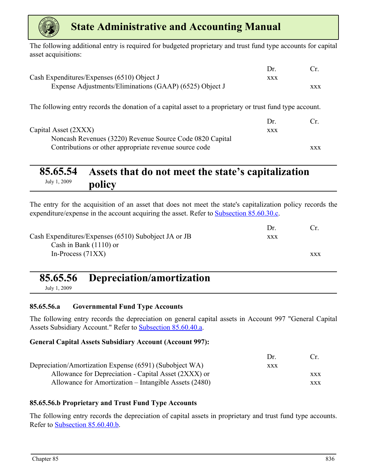<span id="page-19-0"></span>

The following additional entry is required for budgeted proprietary and trust fund type accounts for capital asset acquisitions:

|                                                                                                          | Dr.        | $C_{\rm T}$ |
|----------------------------------------------------------------------------------------------------------|------------|-------------|
| Cash Expenditures/Expenses (6510) Object J                                                               | <b>XXX</b> |             |
| Expense Adjustments/Eliminations (GAAP) (6525) Object J                                                  |            | <b>XXX</b>  |
| The following entry records the donation of a capital asset to a proprietary or trust fund type account. |            |             |
|                                                                                                          | Dr.        | Cr.         |
| Capital Asset (2XXX)                                                                                     | <b>XXX</b> |             |
| Noncash Revenues (3220) Revenue Source Code 0820 Capital                                                 |            |             |
| Contributions or other appropriate revenue source code                                                   |            | <b>XXX</b>  |

# **85.65.54 Assets that do not meet the state's capitalization**  July 1, 2009 **policy**

The entry for the acquisition of an asset that does not meet the state's capitalization policy records the expenditure/expense in the account acquiring the asset. Refer to Subsection 85.60.30.c.

|                                                      | $1$ r      |            |
|------------------------------------------------------|------------|------------|
| Cash Expenditures/Expenses (6510) Subobject JA or JB | <b>XXX</b> |            |
| Cash in Bank $(1110)$ or                             |            |            |
| In-Process $(71XX)$                                  |            | <b>XXX</b> |
|                                                      |            |            |

# **85.65.56 Depreciation/amortization**

July 1, 2009

#### **85.65.56.a Governmental Fund Type Accounts**

The following entry records the depreciation on general capital assets in Account 997 "General Capital Assets Subsidiary Account." Refer to Subsection 85.60.40.a.

#### **General Capital Assets Subsidiary Account (Account 997):**

|                                                         | $1$ r      | $\alpha$   |
|---------------------------------------------------------|------------|------------|
| Depreciation/Amortization Expense (6591) (Subobject WA) | <b>XXX</b> |            |
| Allowance for Depreciation - Capital Asset (2XXX) or    |            | <b>XXX</b> |
| Allowance for Amortization – Intangible Assets (2480)   |            | <b>XXX</b> |

#### **85.65.56.b Proprietary and Trust Fund Type Accounts**

The following entry records the depreciation of capital assets in proprietary and trust fund type accounts. Refer to Subsection 85.60.40.b.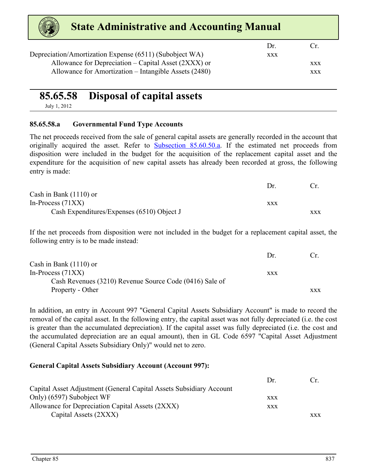<span id="page-20-0"></span>

| <b>State Administrative and Accounting Manual</b>       |            |            |
|---------------------------------------------------------|------------|------------|
|                                                         | Dr.        | l `r       |
| Depreciation/Amortization Expense (6511) (Subobject WA) | <b>XXX</b> |            |
| Allowance for Depreciation – Capital Asset (2XXX) or    |            | <b>XXX</b> |
| Allowance for Amortization – Intangible Assets (2480)   |            | <b>XXX</b> |

## **85.65.58 Disposal of capital assets**

July 1, 2012

#### **85.65.58.a Governmental Fund Type Accounts**

The net proceeds received from the sale of general capital assets are generally recorded in the account that originally acquired the asset. Refer to **Subsection 85.60.50.a**. If the estimated net proceeds from disposition were included in the budget for the acquisition of the replacement capital asset and the expenditure for the acquisition of new capital assets has already been recorded at gross, the following entry is made:

|                                            | 1)r        |            |
|--------------------------------------------|------------|------------|
| Cash in Bank $(1110)$ or                   |            |            |
| In-Process $(71XX)$                        | <b>XXX</b> |            |
| Cash Expenditures/Expenses (6510) Object J |            | <b>XXX</b> |

If the net proceeds from disposition were not included in the budget for a replacement capital asset, the following entry is to be made instead:

|                                                         | $1$ r      |     |
|---------------------------------------------------------|------------|-----|
| Cash in Bank $(1110)$ or                                |            |     |
| In-Process $(71XX)$                                     | <b>XXX</b> |     |
| Cash Revenues (3210) Revenue Source Code (0416) Sale of |            |     |
| Property - Other                                        |            | XXX |

In addition, an entry in Account 997 "General Capital Assets Subsidiary Account" is made to record the removal of the capital asset. In the following entry, the capital asset was not fully depreciated (i.e. the cost is greater than the accumulated depreciation). If the capital asset was fully depreciated (i.e. the cost and the accumulated depreciation are an equal amount), then in GL Code 6597 "Capital Asset Adjustment (General Capital Assets Subsidiary Only)" would net to zero.

#### **General Capital Assets Subsidiary Account (Account 997):**

|                                                                     | $1$ r      | $(\cdot_r$ |
|---------------------------------------------------------------------|------------|------------|
| Capital Asset Adjustment (General Capital Assets Subsidiary Account |            |            |
| Only) (6597) Subobject WF                                           | XXX        |            |
| Allowance for Depreciation Capital Assets (2XXX)                    | <b>XXX</b> |            |
| Capital Assets (2XXX)                                               |            | <b>XXX</b> |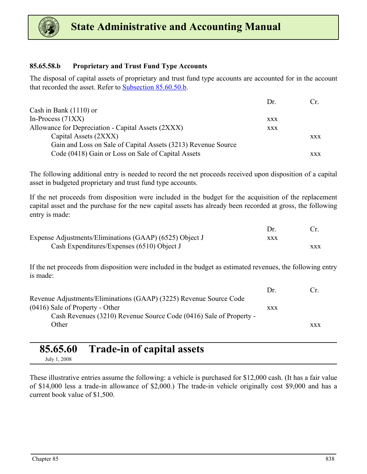<span id="page-21-0"></span>

#### **85.65.58.b Proprietary and Trust Fund Type Accounts**

The disposal of capital assets of proprietary and trust fund type accounts are accounted for in the account that recorded the asset. Refer to Subsection 85.60.50.b.

|                                                               | $1$ r      | Cr. |
|---------------------------------------------------------------|------------|-----|
| Cash in Bank $(1110)$ or                                      |            |     |
| In-Process $(71XX)$                                           | <b>XXX</b> |     |
| Allowance for Depreciation - Capital Assets (2XXX)            | <b>XXX</b> |     |
| Capital Assets (2XXX)                                         |            | XXX |
| Gain and Loss on Sale of Capital Assets (3213) Revenue Source |            |     |
| Code (0418) Gain or Loss on Sale of Capital Assets            |            | xxx |

The following additional entry is needed to record the net proceeds received upon disposition of a capital asset in budgeted proprietary and trust fund type accounts.

If the net proceeds from disposition were included in the budget for the acquisition of the replacement capital asset and the purchase for the new capital assets has already been recorded at gross, the following entry is made:

| Expense Adjustments/Eliminations (GAAP) (6525) Object J | xxx |            |
|---------------------------------------------------------|-----|------------|
| Cash Expenditures/Expenses $(6510)$ Object J            |     | <b>XXX</b> |

If the net proceeds from disposition were included in the budget as estimated revenues, the following entry is made:

|                                                                    | $1$ r      | ( `r |
|--------------------------------------------------------------------|------------|------|
| Revenue Adjustments/Eliminations (GAAP) (3225) Revenue Source Code |            |      |
| $(0416)$ Sale of Property - Other                                  | <b>XXX</b> |      |
| Cash Revenues (3210) Revenue Source Code (0416) Sale of Property - |            |      |
| Other                                                              |            | XXX  |
|                                                                    |            |      |

### **85.65.60 Trade-in of capital assets**

July 1, 2008

These illustrative entries assume the following: a vehicle is purchased for \$12,000 cash. (It has a fair value of \$14,000 less a trade-in allowance of \$2,000.) The trade-in vehicle originally cost \$9,000 and has a current book value of \$1,500.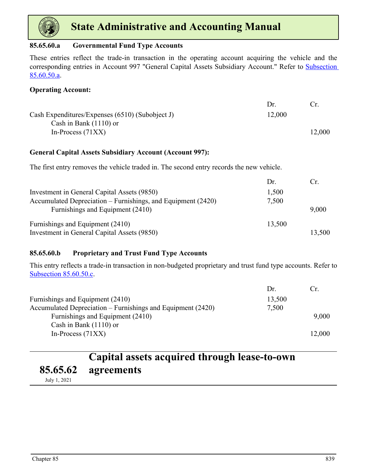<span id="page-22-0"></span>

#### **85.65.60.a Governmental Fund Type Accounts**

These entries reflect the trade-in transaction in the operating account acquiring the vehicle and the corresponding entries in Account 997 "General Capital Assets Subsidiary Account." Refer to Subsection 85.60.50.a.

#### **Operating Account:**

|                                                 | $1$ r  |        |
|-------------------------------------------------|--------|--------|
| Cash Expenditures/Expenses (6510) (Subobject J) | 12,000 |        |
| Cash in Bank $(1110)$ or                        |        |        |
| In-Process $(71XX)$                             |        | 12,000 |

#### **General Capital Assets Subsidiary Account (Account 997):**

The first entry removes the vehicle traded in. The second entry records the new vehicle.

|                                                              | Dr.    | $C_{\rm r}$ |
|--------------------------------------------------------------|--------|-------------|
| Investment in General Capital Assets (9850)                  | 1,500  |             |
| Accumulated Depreciation – Furnishings, and Equipment (2420) | 7,500  |             |
| Furnishings and Equipment (2410)                             |        | 9,000       |
| Furnishings and Equipment (2410)                             | 13,500 |             |
| Investment in General Capital Assets (9850)                  |        | 13,500      |

#### **85.65.60.b Proprietary and Trust Fund Type Accounts**

This entry reflects a trade-in transaction in non-budgeted proprietary and trust fund type accounts. Refer to Subsection 85.60.50.c.

|                                                             | Dr.    | Cr.    |
|-------------------------------------------------------------|--------|--------|
| Furnishings and Equipment (2410)                            | 13,500 |        |
| Accumulated Depreciation – Furnishings and Equipment (2420) | 7,500  |        |
| Furnishings and Equipment (2410)                            |        | 9,000  |
| Cash in Bank $(1110)$ or                                    |        |        |
| In-Process $(71XX)$                                         |        | 12,000 |

#### **85.65.62 Capital assets acquired through lease-to-own agreements**

July 1, 2021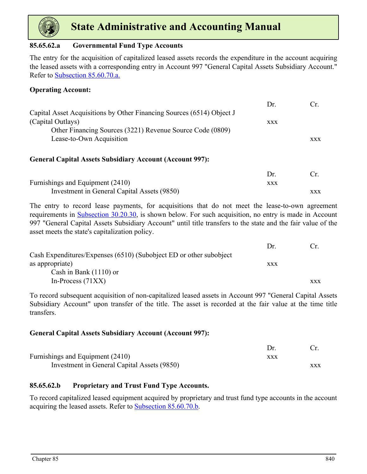

#### **85.65.62.a Governmental Fund Type Accounts**

The entry for the acquisition of capitalized leased assets records the expenditure in the account acquiring the leased assets with a corresponding entry in Account 997 "General Capital Assets Subsidiary Account." Refer to Subsection 85.60.70.a.

#### **Operating Account:**

|                                                                       | Dr.        | Cr.        |
|-----------------------------------------------------------------------|------------|------------|
| Capital Asset Acquisitions by Other Financing Sources (6514) Object J |            |            |
| (Capital Outlays)                                                     | <b>XXX</b> |            |
| Other Financing Sources (3221) Revenue Source Code (0809)             |            |            |
| Lease-to-Own Acquisition                                              |            | <b>XXX</b> |
| <b>General Capital Assets Subsidiary Account (Account 997):</b>       |            |            |
|                                                                       | Dr.        | Cr.        |
| Furnishings and Equipment (2410)                                      | <b>XXX</b> |            |
| Investment in General Capital Assets (9850)                           |            | <b>XXX</b> |

The entry to record lease payments, for acquisitions that do not meet the lease-to-own agreement requirements in Subsection 30.20.30, is shown below. For such acquisition, no entry is made in Account 997 "General Capital Assets Subsidiary Account" until title transfers to the state and the fair value of the asset meets the state's capitalization policy.

|                                                                    | Dr         |            |
|--------------------------------------------------------------------|------------|------------|
| Cash Expenditures/Expenses (6510) (Subobject ED or other subobject |            |            |
| as appropriate)                                                    | <b>XXX</b> |            |
| Cash in Bank $(1110)$ or                                           |            |            |
| In-Process $(71XX)$                                                |            | <b>XXX</b> |

To record subsequent acquisition of non-capitalized leased assets in Account 997 "General Capital Assets Subsidiary Account" upon transfer of the title. The asset is recorded at the fair value at the time title transfers.

#### **General Capital Assets Subsidiary Account (Account 997):**

| Furnishings and Equipment (2410)            | XXX |            |
|---------------------------------------------|-----|------------|
| Investment in General Capital Assets (9850) |     | <b>XXX</b> |

#### **85.65.62.b Proprietary and Trust Fund Type Accounts.**

To record capitalized leased equipment acquired by proprietary and trust fund type accounts in the account acquiring the leased assets. Refer to Subsection 85.60.70.b.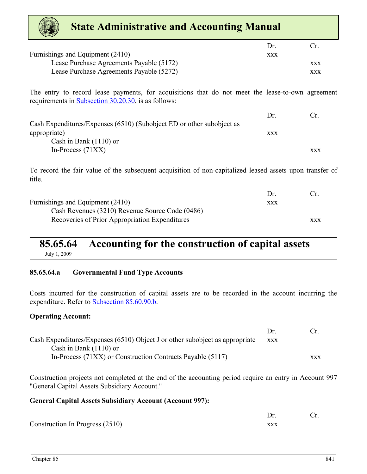<span id="page-24-0"></span>

| <b>State Administrative and Accounting Manual</b>                                                                                                       |            |            |
|---------------------------------------------------------------------------------------------------------------------------------------------------------|------------|------------|
|                                                                                                                                                         | Dr.        | Cr.        |
| Furnishings and Equipment (2410)                                                                                                                        | <b>XXX</b> |            |
| Lease Purchase Agreements Payable (5172)                                                                                                                |            | <b>XXX</b> |
| Lease Purchase Agreements Payable (5272)                                                                                                                |            | <b>XXX</b> |
| The entry to record lease payments, for acquisitions that do not meet the lease-to-own agreement<br>requirements in Subsection 30.20.30, is as follows: |            |            |
|                                                                                                                                                         | Dr.        | Cr.        |
| Cash Expenditures/Expenses (6510) (Subobject ED or other subobject as                                                                                   |            |            |
| appropriate)                                                                                                                                            | <b>XXX</b> |            |
| Cash in Bank $(1110)$ or                                                                                                                                |            |            |
| In-Process $(71XX)$                                                                                                                                     |            | <b>XXX</b> |
| To record the fair value of the subsequent acquisition of non-capitalized leased assets upon transfer of<br>title.                                      |            |            |
|                                                                                                                                                         | Dr.        | Cr.        |
| $\Gamma$ $(0.410)$                                                                                                                                      |            |            |

| Furnishings and Equipment (2410)                | <b>XXX</b> |            |
|-------------------------------------------------|------------|------------|
| Cash Revenues (3210) Revenue Source Code (0486) |            |            |
| Recoveries of Prior Appropriation Expenditures  |            | <b>XXX</b> |

### **85.65.64 Accounting for the construction of capital assets** July 1, 2009

#### **85.65.64.a Governmental Fund Type Accounts**

Costs incurred for the construction of capital assets are to be recorded in the account incurring the expenditure. Refer to Subsection 85.60.90.b.

#### **Operating Account:**

|                                                                              | $1$ r      | $\Gamma$   |
|------------------------------------------------------------------------------|------------|------------|
| Cash Expenditures/Expenses (6510) Object J or other subobject as appropriate | <b>XXX</b> |            |
| Cash in Bank $(1110)$ or                                                     |            |            |
| In-Process (71XX) or Construction Contracts Payable (5117)                   |            | <b>XXX</b> |

Construction projects not completed at the end of the accounting period require an entry in Account 997 "General Capital Assets Subsidiary Account."

#### **General Capital Assets Subsidiary Account (Account 997):**

| Construction In Progress (2510) |  |
|---------------------------------|--|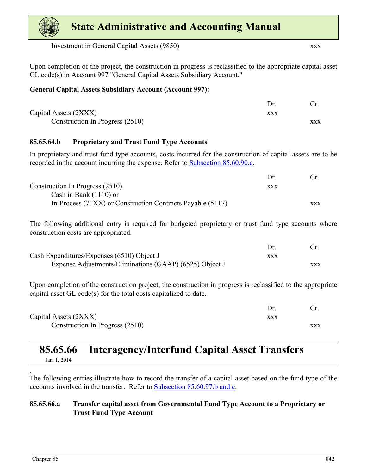<span id="page-25-0"></span>Investment in General Capital Assets (9850) xxx

Upon completion of the project, the construction in progress is reclassified to the appropriate capital asset GL code(s) in Account 997 "General Capital Assets Subsidiary Account."

#### **General Capital Assets Subsidiary Account (Account 997):**

| Capital Assets (2XXX)           | xxx |     |
|---------------------------------|-----|-----|
| Construction In Progress (2510) |     | XXX |

#### **85.65.64.b Proprietary and Trust Fund Type Accounts**

In proprietary and trust fund type accounts, costs incurred for the construction of capital assets are to be recorded in the account incurring the expense. Refer to Subsection 85.60.90.c.

|                                                            | $1$ r |            |
|------------------------------------------------------------|-------|------------|
| Construction In Progress (2510)                            | XXX   |            |
| Cash in Bank $(1110)$ or                                   |       |            |
| In-Process (71XX) or Construction Contracts Payable (5117) |       | <b>XXX</b> |

The following additional entry is required for budgeted proprietary or trust fund type accounts where construction costs are appropriated.

| Cash Expenditures/Expenses (6510) Object J              | XXX |  |
|---------------------------------------------------------|-----|--|
| Expense Adjustments/Eliminations (GAAP) (6525) Object J |     |  |

Upon completion of the construction project, the construction in progress is reclassified to the appropriate capital asset GL code(s) for the total costs capitalized to date.

| Capital Assets (2XXX)           |     |
|---------------------------------|-----|
| Construction In Progress (2510) | XXX |

#### **85.65.66 Interagency/Interfund Capital Asset Transfers** Jan. 1, 2014

The following entries illustrate how to record the transfer of a capital asset based on the fund type of the accounts involved in the transfer. Refer to Subsection 85.60.97.b and c.

#### **85.65.66.a Transfer capital asset from Governmental Fund Type Account to a Proprietary or Trust Fund Type Account**

.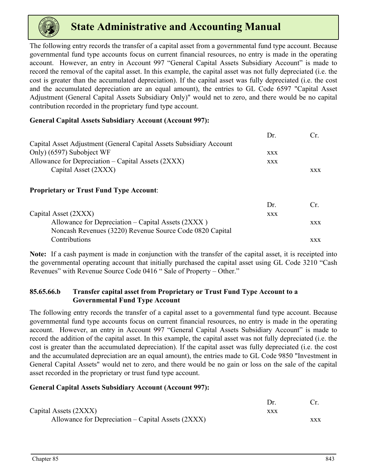

The following entry records the transfer of a capital asset from a governmental fund type account. Because governmental fund type accounts focus on current financial resources, no entry is made in the operating account. However, an entry in Account 997 "General Capital Assets Subsidiary Account" is made to record the removal of the capital asset. In this example, the capital asset was not fully depreciated (i.e. the cost is greater than the accumulated depreciation). If the capital asset was fully depreciated (i.e. the cost and the accumulated depreciation are an equal amount), the entries to GL Code 6597 "Capital Asset Adjustment (General Capital Assets Subsidiary Only)" would net to zero, and there would be no capital contribution recorded in the proprietary fund type account.

#### **General Capital Assets Subsidiary Account (Account 997):**

|                                                                     | Dr.        | Cr.        |
|---------------------------------------------------------------------|------------|------------|
| Capital Asset Adjustment (General Capital Assets Subsidiary Account |            |            |
| Only) (6597) Subobject WF                                           | <b>XXX</b> |            |
| Allowance for Depreciation – Capital Assets (2XXX)                  | <b>XXX</b> |            |
| Capital Asset (2XXX)                                                |            | <b>XXX</b> |
| <b>Proprietary or Trust Fund Type Account:</b>                      |            |            |

|                                                          | $1$ r | $C_{\rm r}$ |
|----------------------------------------------------------|-------|-------------|
| Capital Asset (2XXX)                                     | XXX   |             |
| Allowance for Depreciation – Capital Assets (2XXX)       |       | XXX         |
| Noncash Revenues (3220) Revenue Source Code 0820 Capital |       |             |
| Contributions                                            |       | <b>XXX</b>  |

**Note:** If a cash payment is made in conjunction with the transfer of the capital asset, it is receipted into the governmental operating account that initially purchased the capital asset using GL Code 3210 "Cash Revenues" with Revenue Source Code 0416 " Sale of Property – Other."

#### **85.65.66.b Transfer capital asset from Proprietary or Trust Fund Type Account to a Governmental Fund Type Account**

The following entry records the transfer of a capital asset to a governmental fund type account. Because governmental fund type accounts focus on current financial resources, no entry is made in the operating account. However, an entry in Account 997 "General Capital Assets Subsidiary Account" is made to record the addition of the capital asset. In this example, the capital asset was not fully depreciated (i.e. the cost is greater than the accumulated depreciation). If the capital asset was fully depreciated (i.e. the cost and the accumulated depreciation are an equal amount), the entries made to GL Code 9850 "Investment in General Capital Assets" would net to zero, and there would be no gain or loss on the sale of the capital asset recorded in the proprietary or trust fund type account.

#### **General Capital Assets Subsidiary Account (Account 997):**

| Capital Assets (2XXX)                                | xxx |     |
|------------------------------------------------------|-----|-----|
| Allowance for Depreciation $-$ Capital Assets (2XXX) |     | XXX |